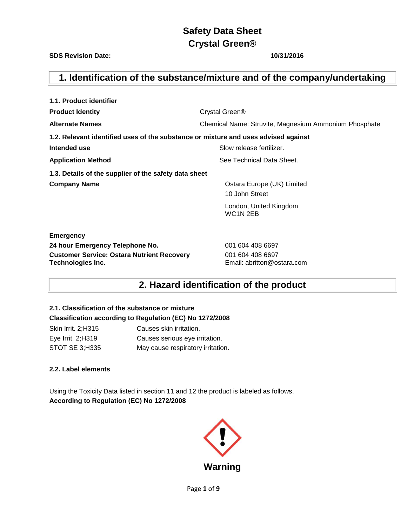**SDS Revision Date: 10/31/2016**

## **1. Identification of the substance/mixture and of the company/undertaking**

| 1.1. Product identifier                                                            |                                                            |  |  |
|------------------------------------------------------------------------------------|------------------------------------------------------------|--|--|
| <b>Product Identity</b>                                                            | Crystal Green <sup>®</sup>                                 |  |  |
| <b>Alternate Names</b>                                                             | Chemical Name: Struvite, Magnesium Ammonium Phosphate      |  |  |
| 1.2. Relevant identified uses of the substance or mixture and uses advised against |                                                            |  |  |
| Intended use                                                                       | Slow release fertilizer.                                   |  |  |
| <b>Application Method</b>                                                          | See Technical Data Sheet.                                  |  |  |
| 1.3. Details of the supplier of the safety data sheet                              |                                                            |  |  |
| <b>Company Name</b>                                                                | Ostara Europe (UK) Limited                                 |  |  |
|                                                                                    | 10 John Street                                             |  |  |
|                                                                                    | London, United Kingdom<br>WC <sub>1</sub> N <sub>2EB</sub> |  |  |
| <b>Emergency</b>                                                                   |                                                            |  |  |
| 24 hour Emergency Telephone No.                                                    | 001 604 408 6697                                           |  |  |
| <b>Customer Service: Ostara Nutrient Recovery</b>                                  | 001 604 408 6697                                           |  |  |
| Technologies Inc.                                                                  | Email: abritton@ostara.com                                 |  |  |

## **2. Hazard identification of the product**

## **2.1. Classification of the substance or mixture Classification according to Regulation (EC) No 1272/2008**

Skin Irrit. 2;H315 Causes skin irritation. Eye Irrit. 2;H319 Causes serious eye irritation. STOT SE 3;H335 May cause respiratory irritation.

## **2.2. Label elements**

Using the Toxicity Data listed in section 11 and 12 the product is labeled as follows. **According to Regulation (EC) No 1272/2008**



Page **1** of **9**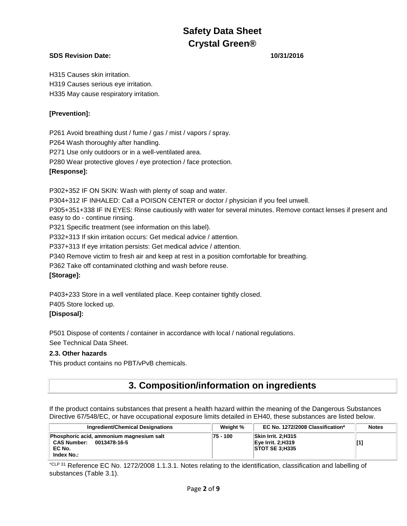## **SDS Revision Date: 10/31/2016**

H315 Causes skin irritation. H319 Causes serious eye irritation. H335 May cause respiratory irritation.

## **[Prevention]:**

P261 Avoid breathing dust / fume / gas / mist / vapors / spray. P264 Wash thoroughly after handling. P271 Use only outdoors or in a well-ventilated area. P280 Wear protective gloves / eye protection / face protection. **[Response]:**

P302+352 IF ON SKIN: Wash with plenty of soap and water. P304+312 IF INHALED: Call a POISON CENTER or doctor / physician if you feel unwell. P305+351+338 IF IN EYES: Rinse cautiously with water for several minutes. Remove contact lenses if present and easy to do - continue rinsing. P321 Specific treatment (see information on this label). P332+313 If skin irritation occurs: Get medical advice / attention. P337+313 If eye irritation persists: Get medical advice / attention. P340 Remove victim to fresh air and keep at rest in a position comfortable for breathing. P362 Take off contaminated clothing and wash before reuse. **[Storage]:**

P403+233 Store in a well ventilated place. Keep container tightly closed. P405 Store locked up. **[Disposal]:**

P501 Dispose of contents / container in accordance with local / national regulations. See Technical Data Sheet.

### **2.3. Other hazards**

This product contains no PBT/vPvB chemicals.

## **3. Composition/information on ingredients**

If the product contains substances that present a health hazard within the meaning of the Dangerous Substances Directive 67/548/EC, or have occupational exposure limits detailed in EH40, these substances are listed below.

| <b>Ingredient/Chemical Designations</b>                                                      | Weight %   | EC No. 1272/2008 Classification*                          | <b>Notes</b> |
|----------------------------------------------------------------------------------------------|------------|-----------------------------------------------------------|--------------|
| Phosphoric acid, ammonium magnesium salt<br>CAS Number: 0013478-16-5<br>EC No.<br>Index No.: | $75 - 100$ | Skin Irrit. 2:H315<br>Eve Irrit. 2:H319<br>STOTSE 3; H335 |              |

 $^{\text{CLP 31}}$  Reference EC No. 1272/2008 1.1.3.1. Notes relating to the identification, classification and labelling of substances (Table 3.1).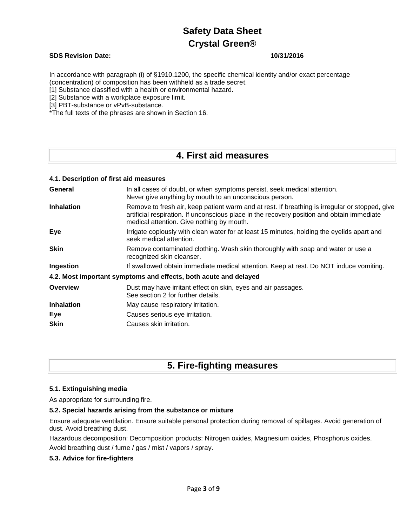### **SDS Revision Date: 10/31/2016**

In accordance with paragraph (i) of §1910.1200, the specific chemical identity and/or exact percentage (concentration) of composition has been withheld as a trade secret.

[1] Substance classified with a health or environmental hazard.

[2] Substance with a workplace exposure limit.

[3] PBT-substance or vPvB-substance.

\*The full texts of the phrases are shown in Section 16.

## **4. First aid measures**

| 4.1. Description of first aid measures                                                                                                                                                                                                    |
|-------------------------------------------------------------------------------------------------------------------------------------------------------------------------------------------------------------------------------------------|
| In all cases of doubt, or when symptoms persist, seek medical attention.<br>Never give anything by mouth to an unconscious person.                                                                                                        |
| Remove to fresh air, keep patient warm and at rest. If breathing is irregular or stopped, give<br>artificial respiration. If unconscious place in the recovery position and obtain immediate<br>medical attention. Give nothing by mouth. |
| Irrigate copiously with clean water for at least 15 minutes, holding the eyelids apart and<br>seek medical attention.                                                                                                                     |
| Remove contaminated clothing. Wash skin thoroughly with soap and water or use a<br>recognized skin cleanser.                                                                                                                              |
| If swallowed obtain immediate medical attention. Keep at rest. Do NOT induce vomiting.                                                                                                                                                    |
| 4.2. Most important symptoms and effects, both acute and delayed                                                                                                                                                                          |
| Dust may have irritant effect on skin, eyes and air passages.<br>See section 2 for further details.                                                                                                                                       |
| May cause respiratory irritation.                                                                                                                                                                                                         |
| Causes serious eye irritation.                                                                                                                                                                                                            |
| Causes skin irritation.                                                                                                                                                                                                                   |
|                                                                                                                                                                                                                                           |

## **5. Fire-fighting measures**

### **5.1. Extinguishing media**

As appropriate for surrounding fire.

### **5.2. Special hazards arising from the substance or mixture**

Ensure adequate ventilation. Ensure suitable personal protection during removal of spillages. Avoid generation of dust. Avoid breathing dust.

Hazardous decomposition: Decomposition products: Nitrogen oxides, Magnesium oxides, Phosphorus oxides.

Avoid breathing dust / fume / gas / mist / vapors / spray.

### **5.3. Advice for fire-fighters**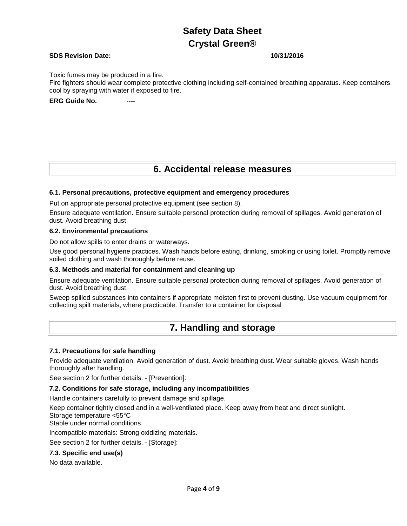### **SDS Revision Date: 10/31/2016**

Toxic fumes may be produced in a fire.

Fire fighters should wear complete protective clothing including self-contained breathing apparatus. Keep containers cool by spraying with water if exposed to fire.

### **ERG Guide No. ----**

## **6. Accidental release measures**

### **6.1. Personal precautions, protective equipment and emergency procedures**

Put on appropriate personal protective equipment (see section 8).

Ensure adequate ventilation. Ensure suitable personal protection during removal of spillages. Avoid generation of dust. Avoid breathing dust.

### **6.2. Environmental precautions**

Do not allow spills to enter drains or waterways.

Use good personal hygiene practices. Wash hands before eating, drinking, smoking or using toilet. Promptly remove soiled clothing and wash thoroughly before reuse.

### **6.3. Methods and material for containment and cleaning up**

Ensure adequate ventilation. Ensure suitable personal protection during removal of spillages. Avoid generation of dust. Avoid breathing dust.

Sweep spilled substances into containers if appropriate moisten first to prevent dusting. Use vacuum equipment for collecting spilt materials, where practicable. Transfer to a container for disposal

## **7. Handling and storage**

### **7.1. Precautions for safe handling**

Provide adequate ventilation. Avoid generation of dust. Avoid breathing dust. Wear suitable gloves. Wash hands thoroughly after handling.

See section 2 for further details. - [Prevention]:

### **7.2. Conditions for safe storage, including any incompatibilities**

Handle containers carefully to prevent damage and spillage.

Keep container tightly closed and in a well-ventilated place. Keep away from heat and direct sunlight.

Storage temperature <55°C

Stable under normal conditions.

Incompatible materials: Strong oxidizing materials.

See section 2 for further details. - [Storage]:

### **7.3. Specific end use(s)**

No data available.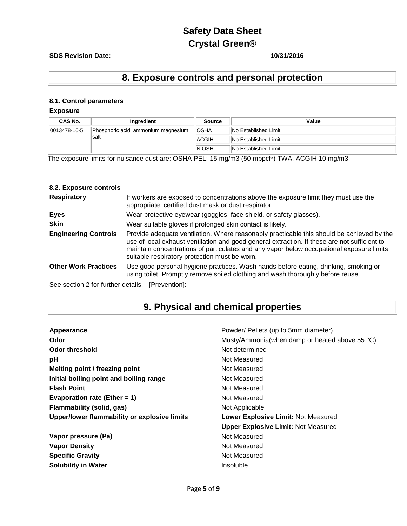### **SDS Revision Date: 10/31/2016**

## **8. Exposure controls and personal protection**

## **8.1. Control parameters**

## **Exposure**

| CAS No.          | Ingredient                          | Source                      | Value                       |
|------------------|-------------------------------------|-----------------------------|-----------------------------|
| $ 0013478-16-5 $ | Phosphoric acid, ammonium magnesium | <b>OSHA</b>                 | <b>No Established Limit</b> |
| salt             | ACGIH                               | <b>No Established Limit</b> |                             |
|                  | <b>NIOSH</b>                        | <b>No Established Limit</b> |                             |

The exposure limits for nuisance dust are: OSHA PEL: 15 mg/m3 (50 mppcf\*) TWA, ACGIH 10 mg/m3.

### **8.2. Exposure controls**

| <b>Respiratory</b>          | If workers are exposed to concentrations above the exposure limit they must use the<br>appropriate, certified dust mask or dust respirator.                                                                                                                                                                                            |
|-----------------------------|----------------------------------------------------------------------------------------------------------------------------------------------------------------------------------------------------------------------------------------------------------------------------------------------------------------------------------------|
| <b>Eyes</b>                 | Wear protective eyewear (goggles, face shield, or safety glasses).                                                                                                                                                                                                                                                                     |
| <b>Skin</b>                 | Wear suitable gloves if prolonged skin contact is likely.                                                                                                                                                                                                                                                                              |
| <b>Engineering Controls</b> | Provide adequate ventilation. Where reasonably practicable this should be achieved by the<br>use of local exhaust ventilation and good general extraction. If these are not sufficient to<br>maintain concentrations of particulates and any vapor below occupational exposure limits<br>suitable respiratory protection must be worn. |
| <b>Other Work Practices</b> | Use good personal hygiene practices. Wash hands before eating, drinking, smoking or<br>using toilet. Promptly remove soiled clothing and wash thoroughly before reuse.                                                                                                                                                                 |

See section 2 for further details. - [Prevention]:

## **9. Physical and chemical properties**

| Appearance                                   | Powder/ Pellets (up to 5mm diameter).          |  |
|----------------------------------------------|------------------------------------------------|--|
| Odor                                         | Musty/Ammonia(when damp or heated above 55 °C) |  |
| <b>Odor threshold</b>                        | Not determined                                 |  |
| рH                                           | Not Measured                                   |  |
| Melting point / freezing point               | Not Measured                                   |  |
| Initial boiling point and boiling range      | Not Measured                                   |  |
| <b>Flash Point</b>                           | Not Measured                                   |  |
| Evaporation rate (Ether = $1$ )              | Not Measured                                   |  |
| Flammability (solid, gas)                    | Not Applicable                                 |  |
| Upper/lower flammability or explosive limits | Lower Explosive Limit: Not Measured            |  |
|                                              | <b>Upper Explosive Limit: Not Measured</b>     |  |
| Vapor pressure (Pa)                          | Not Measured                                   |  |
| <b>Vapor Density</b>                         | Not Measured                                   |  |
| <b>Specific Gravity</b>                      | Not Measured                                   |  |
| <b>Solubility in Water</b>                   | Insoluble                                      |  |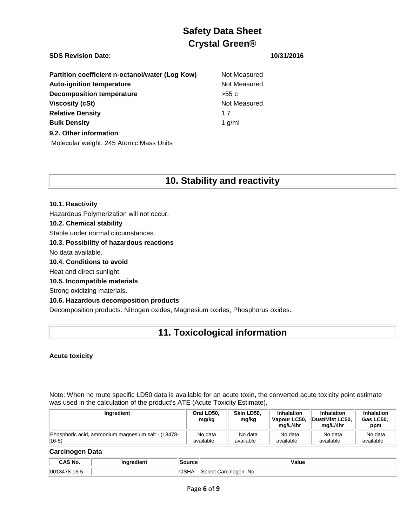## **SDS Revision Date: 10/31/2016**

| Partition coefficient n-octanol/water (Log Kow) | Not M    |
|-------------------------------------------------|----------|
| <b>Auto-ignition temperature</b>                | Not M    |
| <b>Decomposition temperature</b>                | $>55$ c  |
| <b>Viscosity (cSt)</b>                          | Not M    |
| <b>Relative Density</b>                         | 17       |
| <b>Bulk Density</b>                             | 1 $g/ml$ |
| 9.2. Other information                          |          |
| Molecular weight: 245 Atomic Mass Units         |          |

# **Not Measured Not Measured**

**Not Measured** 

## **10. Stability and reactivity**

### **10.1. Reactivity**

Hazardous Polymerization will not occur.

### **10.2. Chemical stability**

Stable under normal circumstances.

### **10.3. Possibility of hazardous reactions**

No data available.

**10.4. Conditions to avoid**

Heat and direct sunlight.

### **10.5. Incompatible materials**

Strong oxidizing materials.

### **10.6. Hazardous decomposition products**

Decomposition products: Nitrogen oxides, Magnesium oxides, Phosphorus oxides.

## **11. Toxicological information**

### **Acute toxicity**

Note: When no route specific LD50 data is available for an acute toxin, the converted acute toxicity point estimate was used in the calculation of the product's ATE (Acute Toxicity Estimate).

| Ingredient                                         | Oral LD50.<br>mg/kg | Skin LD50.<br>mg/kg | <b>Inhalation</b><br>Vapour LC50.<br>ma/L/4hr | <b>Inhalation</b><br>Dust/Mist LC50.<br>ma/L/4hr | <b>Inhalation</b><br>Gas LC50,<br>ppm |
|----------------------------------------------------|---------------------|---------------------|-----------------------------------------------|--------------------------------------------------|---------------------------------------|
| Phosphoric acid, ammonium magnesium salt - (13478- | No data             | No data             | No data                                       | No data                                          | No data                               |
| $16-5)$                                            | available           | available           | available                                     | available                                        | available                             |

### **Carcinogen Data**

| ```                   | ıaredient | Source | Value                  |
|-----------------------|-----------|--------|------------------------|
| No.                   |           |        |                        |
| 001<br>178-16-5<br>14 |           | שטט    | Carcinogen: No<br>ה הו |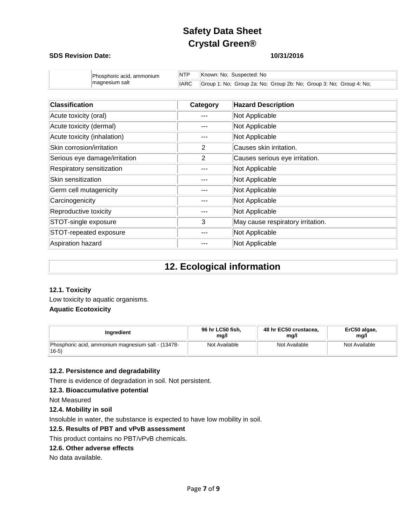### **SDS Revision Date: 10/31/2016**

| Phosphoric acid, ammonium<br>magnesium salt | <b>NTP</b> | Known: No: Suspected: No                                           |
|---------------------------------------------|------------|--------------------------------------------------------------------|
|                                             | IARC       | Group 1: No: Group 2a: No: Group 2b: No: Group 3: No: Group 4: No: |

| <b>Classification</b>         | Category | <b>Hazard Description</b>         |
|-------------------------------|----------|-----------------------------------|
| Acute toxicity (oral)         |          | Not Applicable                    |
| Acute toxicity (dermal)       |          | Not Applicable                    |
| Acute toxicity (inhalation)   |          | Not Applicable                    |
| Skin corrosion/irritation     | 2        | Causes skin irritation.           |
| Serious eye damage/irritation | 2        | Causes serious eye irritation.    |
| Respiratory sensitization     |          | Not Applicable                    |
| Skin sensitization            |          | Not Applicable                    |
| Germ cell mutagenicity        |          | Not Applicable                    |
| Carcinogenicity               |          | Not Applicable                    |
| Reproductive toxicity         |          | Not Applicable                    |
| STOT-single exposure          | 3        | May cause respiratory irritation. |
| STOT-repeated exposure        |          | Not Applicable                    |
| Aspiration hazard             |          | Not Applicable                    |

## **12. Ecological information**

### **12.1. Toxicity**

Low toxicity to aquatic organisms. **Aquatic Ecotoxicity**

| Inaredient                                                           | 96 hr LC50 fish, | 48 hr EC50 crustacea, | ErC50 algae,  |
|----------------------------------------------------------------------|------------------|-----------------------|---------------|
|                                                                      | mg/l             | mg/l                  | mg/l          |
| Phosphoric acid, ammonium magnesium salt - (13478-<br>$ 16-5\rangle$ | Not Available    | Not Available         | Not Available |

### **12.2. Persistence and degradability**

There is evidence of degradation in soil. Not persistent.

## **12.3. Bioaccumulative potential**

Not Measured

### **12.4. Mobility in soil**

Insoluble in water, the substance is expected to have low mobility in soil.

### **12.5. Results of PBT and vPvB assessment**

This product contains no PBT/vPvB chemicals.

### **12.6. Other adverse effects**

No data available.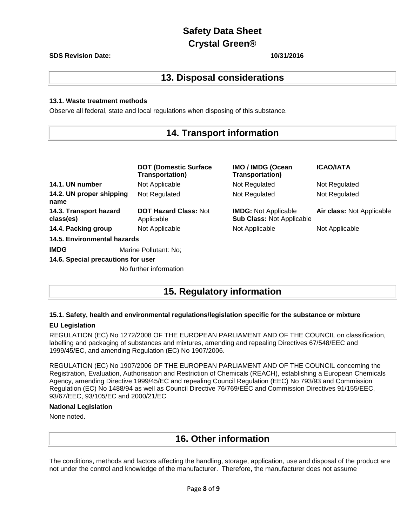### **SDS Revision Date: 10/31/2016**

## **13. Disposal considerations**

### **13.1. Waste treatment methods**

Observe all federal, state and local regulations when disposing of this substance.

## **14. Transport information**

|                                     | <b>DOT (Domestic Surface)</b><br><b>Transportation)</b> | IMO / IMDG (Ocean<br><b>Transportation)</b>                     | <b>ICAO/IATA</b>          |
|-------------------------------------|---------------------------------------------------------|-----------------------------------------------------------------|---------------------------|
| 14.1. UN number                     | Not Applicable                                          | Not Regulated                                                   | Not Regulated             |
| 14.2. UN proper shipping<br>name    | Not Regulated                                           | Not Regulated                                                   | Not Regulated             |
| 14.3. Transport hazard<br>class(es) | <b>DOT Hazard Class: Not</b><br>Applicable              | <b>IMDG:</b> Not Applicable<br><b>Sub Class: Not Applicable</b> | Air class: Not Applicable |
| 14.4. Packing group                 | Not Applicable                                          | Not Applicable                                                  | Not Applicable            |
| 14.5. Environmental hazards         |                                                         |                                                                 |                           |
| <b>IMDG</b>                         | Marine Pollutant: No:                                   |                                                                 |                           |
| 14.6. Special precautions for user  |                                                         |                                                                 |                           |
|                                     | No further information                                  |                                                                 |                           |

## **15. Regulatory information**

### **15.1. Safety, health and environmental regulations/legislation specific for the substance or mixture**

### **EU Legislation**

REGULATION (EC) No 1272/2008 OF THE EUROPEAN PARLIAMENT AND OF THE COUNCIL on classification, labelling and packaging of substances and mixtures, amending and repealing Directives 67/548/EEC and 1999/45/EC, and amending Regulation (EC) No 1907/2006.

REGULATION (EC) No 1907/2006 OF THE EUROPEAN PARLIAMENT AND OF THE COUNCIL concerning the Registration, Evaluation, Authorisation and Restriction of Chemicals (REACH), establishing a European Chemicals Agency, amending Directive 1999/45/EC and repealing Council Regulation (EEC) No 793/93 and Commission Regulation (EC) No 1488/94 as well as Council Directive 76/769/EEC and Commission Directives 91/155/EEC, 93/67/EEC, 93/105/EC and 2000/21/EC

### **National Legislation**

None noted.

## **16. Other information**

The conditions, methods and factors affecting the handling, storage, application, use and disposal of the product are not under the control and knowledge of the manufacturer. Therefore, the manufacturer does not assume